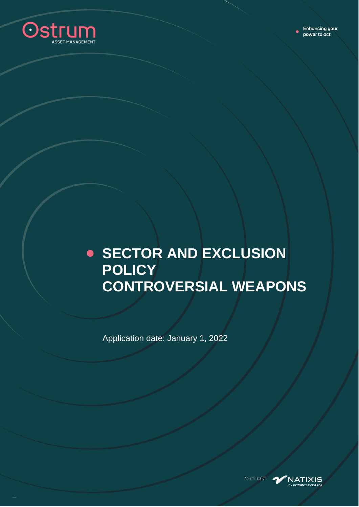

### **SECTOR AND EXCLUSION POLICY CONTROVERSIAL WEAPONS**

Application date: January 1, 2022



An affiliate of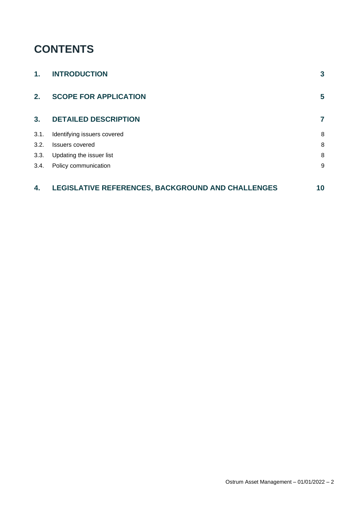#### **CONTENTS**

| 1.   | <b>INTRODUCTION</b>                               | $\mathbf{3}$ |
|------|---------------------------------------------------|--------------|
| 2.   | <b>SCOPE FOR APPLICATION</b>                      | 5            |
| 3.   | <b>DETAILED DESCRIPTION</b>                       | 7            |
| 3.1. | Identifying issuers covered                       | 8            |
| 3.2. | <b>Issuers covered</b>                            | 8            |
| 3.3. | Updating the issuer list                          | 8            |
| 3.4. | Policy communication                              | 9            |
| 4.   | LEGISLATIVE REFERENCES, BACKGROUND AND CHALLENGES | 10           |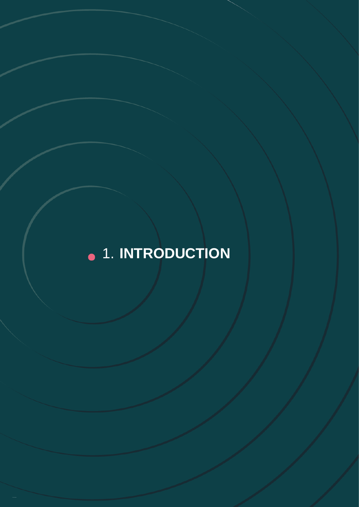# <span id="page-2-0"></span>**.** 1. INTRODUCTION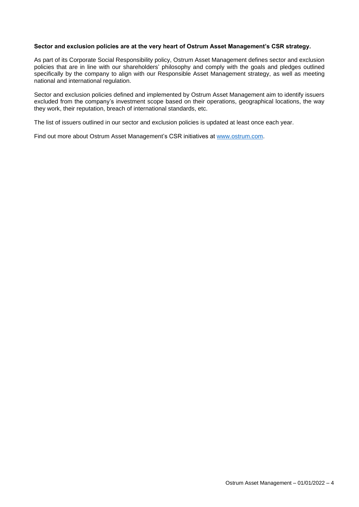#### **Sector and exclusion policies are at the very heart of Ostrum Asset Management's CSR strategy.**

As part of its Corporate Social Responsibility policy, Ostrum Asset Management defines sector and exclusion policies that are in line with our shareholders' philosophy and comply with the goals and pledges outlined specifically by the company to align with our Responsible Asset Management strategy, as well as meeting national and international regulation.

Sector and exclusion policies defined and implemented by Ostrum Asset Management aim to identify issuers excluded from the company's investment scope based on their operations, geographical locations, the way they work, their reputation, breach of international standards, etc.

The list of issuers outlined in our sector and exclusion policies is updated at least once each year.

Find out more about Ostrum Asset Management's CSR initiatives at [www.ostrum.com.](http://www.ostrum.com/)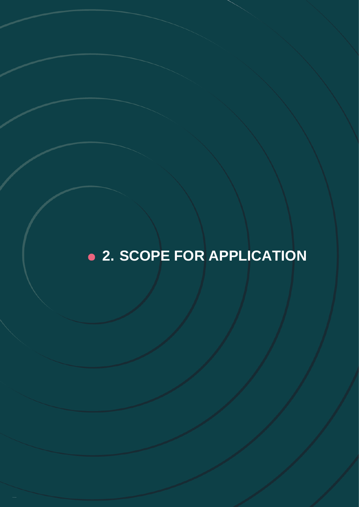## <span id="page-4-0"></span>● 2. SCOPE FOR APPLICATION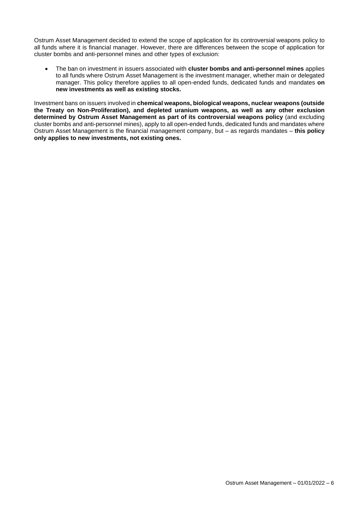Ostrum Asset Management decided to extend the scope of application for its controversial weapons policy to all funds where it is financial manager. However, there are differences between the scope of application for cluster bombs and anti-personnel mines and other types of exclusion:

• The ban on investment in issuers associated with **cluster bombs and anti-personnel mines** applies to all funds where Ostrum Asset Management is the investment manager, whether main or delegated manager. This policy therefore applies to all open-ended funds, dedicated funds and mandates **on new investments as well as existing stocks.**

Investment bans on issuers involved in **chemical weapons, biological weapons, nuclear weapons (outside the Treaty on Non-Proliferation), and depleted uranium weapons, as well as any other exclusion determined by Ostrum Asset Management as part of its controversial weapons policy** (and excluding cluster bombs and anti-personnel mines), apply to all open-ended funds, dedicated funds and mandates where Ostrum Asset Management is the financial management company, but – as regards mandates – **this policy only applies to new investments, not existing ones.**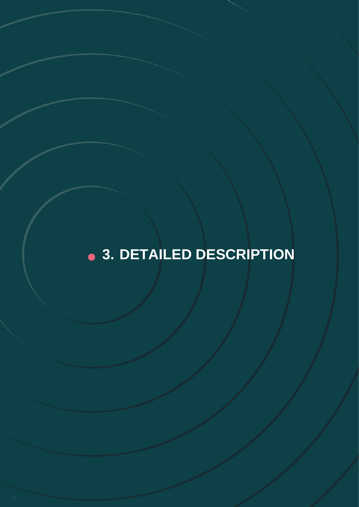## <span id="page-6-0"></span>8 3. DETAILED DESCRIPTION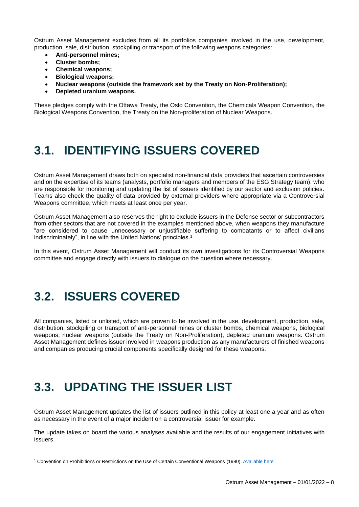Ostrum Asset Management excludes from all its portfolios companies involved in the use, development, production, sale, distribution, stockpiling or transport of the following weapons categories:

- **Anti-personnel mines;**
- **Cluster bombs;**
- **Chemical weapons;**
- **Biological weapons;**
- **Nuclear weapons (outside the framework set by the Treaty on Non-Proliferation);**
- **Depleted uranium weapons.**

These pledges comply with the Ottawa Treaty, the Oslo Convention, the Chemicals Weapon Convention, the Biological Weapons Convention, the Treaty on the Non-proliferation of Nuclear Weapons.

#### <span id="page-7-0"></span>**3.1. IDENTIFYING ISSUERS COVERED**

Ostrum Asset Management draws both on specialist non-financial data providers that ascertain controversies and on the expertise of its teams (analysts, portfolio managers and members of the ESG Strategy team), who are responsible for monitoring and updating the list of issuers identified by our sector and exclusion policies. Teams also check the quality of data provided by external providers where appropriate via a Controversial Weapons committee, which meets at least once per year.

Ostrum Asset Management also reserves the right to exclude issuers in the Defense sector or subcontractors from other sectors that are not covered in the examples mentioned above, when weapons they manufacture "are considered to cause unnecessary or unjustifiable suffering to combatants or to affect civilians indiscriminately", in line with the United Nations' principles. 1

In this event, Ostrum Asset Management will conduct its own investigations for its Controversial Weapons committee and engage directly with issuers to dialogue on the question where necessary.

#### <span id="page-7-1"></span>**3.2. ISSUERS COVERED**

All companies, listed or unlisted, which are proven to be involved in the use, development, production, sale, distribution, stockpiling or transport of anti-personnel mines or cluster bombs, chemical weapons, biological weapons, nuclear weapons (outside the Treaty on Non-Proliferation), depleted uranium weapons. Ostrum Asset Management defines issuer involved in weapons production as any manufacturers of finished weapons and companies producing crucial components specifically designed for these weapons.

#### <span id="page-7-2"></span>**3.3. UPDATING THE ISSUER LIST**

Ostrum Asset Management updates the list of issuers outlined in this policy at least one a year and as often as necessary in the event of a major incident on a controversial issuer for example.

The update takes on board the various analyses available and the results of our engagement initiatives with issuers.

<sup>1</sup> Convention on Prohibitions or Restrictions on the Use of Certain Conventional Weapons (1980)[. Available here](https://treaties.un.org/pages/ViewDetails.aspx?src=TREATY&mtdsg_no=XXVI-2&chapter=26&clang=_en)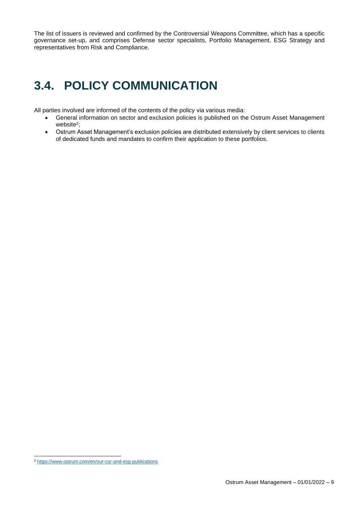The list of issuers is reviewed and confirmed by the Controversial Weapons Committee, which has a specific governance set-up, and comprises Defense sector specialists, Portfolio Management, ESG Strategy and representatives from Risk and Compliance.

### <span id="page-8-0"></span>**3.4. POLICY COMMUNICATION**

All parties involved are informed of the contents of the policy via various media:

- General information on sector and exclusion policies is published on the Ostrum Asset Management website<sup>2</sup>;
- Ostrum Asset Management's exclusion policies are distributed extensively by client services to clients of dedicated funds and mandates to confirm their application to these portfolios.

<sup>2</sup> <https://www.ostrum.com/en/our-csr-and-esg-publications>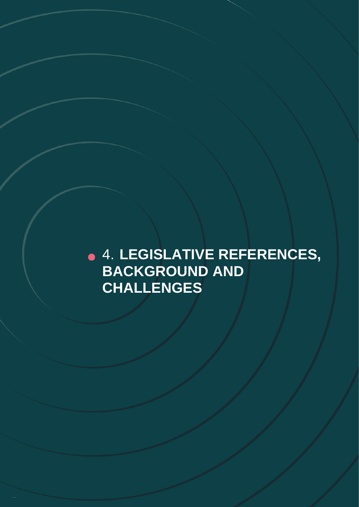<span id="page-9-0"></span>4. **LEGISLATIVE REFERENCES, BACKGROUND AND CHALLENGES**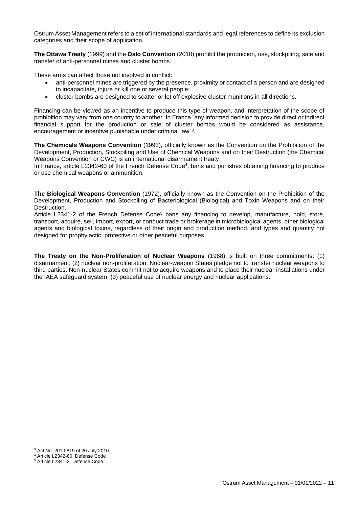Ostrum Asset Management refers to a set of international standards and legal references to define its exclusion categories and their scope of application.

**The Ottawa Treaty** (1999) and the **Oslo Convention** (2010) prohibit the production, use, stockpiling, sale and transfer of anti-personnel mines and cluster bombs.

These arms can affect those not involved in conflict:

- anti-personnel mines are triggered by the presence, proximity or contact of a person and are designed to incapacitate, injure or kill one or several people;
- cluster bombs are designed to scatter or let off explosive cluster munitions in all directions.

Financing can be viewed as an incentive to produce this type of weapon, and interpretation of the scope of prohibition may vary from one country to another. In France "any informed decision to provide direct or indirect financial support for the production or sale of cluster bombs would be considered as assistance, encouragement or incentive punishable under criminal law"<sup>3</sup>.

**The Chemicals Weapons Convention** (1993), officially known as the Convention on the Prohibition of the Development, Production, Stockpiling and Use of Chemical Weapons and on their Destruction (the Chemical Weapons Convention or CWC) is an international disarmament treaty.

In France, article L2342-60 of the French Defense Code<sup>4</sup>, bans and punishes obtaining financing to produce or use chemical weapons or ammunition.

**The Biological Weapons Convention** (1972), officially known as the Convention on the Prohibition of the Development, Production and Stockpiling of Bacteriological (Biological) and Toxin Weapons and on their Destruction.

Article L2341-2 of the French Defense Code<sup>5</sup> bans any financing to develop, manufacture, hold, store, transport, acquire, sell, import, export, or conduct trade or brokerage in microbiological agents, other biological agents and biological toxins, regardless of their origin and production method, and types and quantity not designed for prophylactic, protective or other peaceful purposes.

**The Treaty on the Non-Proliferation of Nuclear Weapons** (1968) is built on three commitments: (1) disarmament; (2) nuclear non-proliferation. Nuclear-weapon States pledge not to transfer nuclear weapons to third parties. Non-nuclear States commit not to acquire weapons and to place their nuclear installations under the IAEA safeguard system; (3) peaceful use of nuclear energy and nuclear applications.

<sup>3</sup> Act No. 2010-819 of 20 July 2010

<sup>4</sup> Article L2342-60, Defense Code

<sup>5</sup> Article L2341-2, Defense Code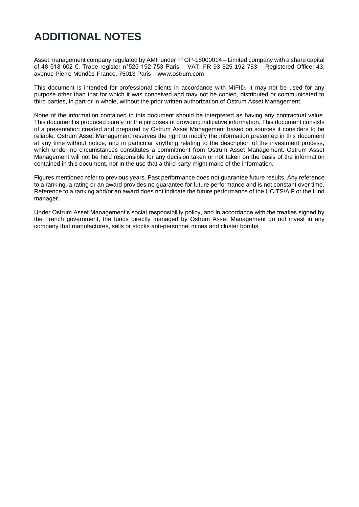#### **ADDITIONAL NOTES**

Asset management company regulated by AMF under n° GP-18000014 – Limited company with a share capital of 48 518 602 €. Trade register n°525 192 753 Paris – VAT: FR 93 525 192 753 – Registered Office: 43, avenue Pierre Mendès-France, 75013 Paris – www.ostrum.com

This document is intended for professional clients in accordance with MIFID. It may not be used for any purpose other than that for which it was conceived and may not be copied, distributed or communicated to third parties, in part or in whole, without the prior written authorization of Ostrum Asset Management.

None of the information contained in this document should be interpreted as having any contractual value. This document is produced purely for the purposes of providing indicative information. This document consists of a presentation created and prepared by Ostrum Asset Management based on sources it considers to be reliable. Ostrum Asset Management reserves the right to modify the information presented in this document at any time without notice, and in particular anything relating to the description of the investment process, which under no circumstances constitutes a commitment from Ostrum Asset Management. Ostrum Asset Management will not be held responsible for any decision taken or not taken on the basis of the information contained in this document, nor in the use that a third party might make of the information.

Figures mentioned refer to previous years. Past performance does not guarantee future results. Any reference to a ranking, a rating or an award provides no guarantee for future performance and is not constant over time. Reference to a ranking and/or an award does not indicate the future performance of the UCITS/AIF or the fund manager.

Under Ostrum Asset Management's social responsibility policy, and in accordance with the treaties signed by the French government, the funds directly managed by Ostrum Asset Management do not invest in any company that manufactures, sells or stocks anti-personnel mines and cluster bombs.